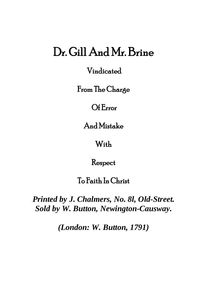# Dr. Gill And Mr. Brine

Vindicated

From The Charge

Of Error

And Mistake

With

Respect

To Faith In Christ

*Printed by J. Chalmers, No. 8l, Old-Street. Sold by W. Button, Newington-Causway.*

*(London: W. Button, 1791)*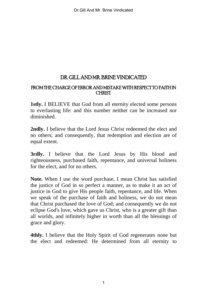## DR. GILL AND MR. BRINE VINDICATED

#### FROM THE CHARGE OF ERROR AND MISTAKE WITH RESPECT TO FAITH IN CHRIST.

**1stly.** I BELIEVE that God from all eternity elected some persons to everlasting life: and this number neither can be increased nor diminished.

**2ndly.** I believe that the Lord Jesus Christ redeemed the elect and no others; and consequently, that redemption and election are of equal extent.

**3rdly.** I believe that the Lord Jesus by His blood and righteousness, purchased faith, repentance, and universal holiness for the elect, and for no others.

**Note.** When I use the word purchase, I mean Christ has satisfied the justice of God in so perfect a manner, as to make it an act of justice in God to give His people faith, repentance, and life. When we speak of the purchase of faith and holiness, we do not mean that Christ purchased the love of God; and consequently we do not eclipse God's love, which gave us Christ, who is a greater gift than all worlds, and infinitely higher in worth than all the blessings of grace and glory.

**4thly.** I believe that the Holy Spirit of God regenerates none but the elect and redeemed: He determined from all eternity to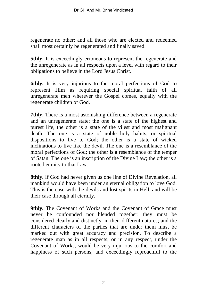regenerate no other; and all those who are elected and redeemed shall most certainly be regenerated and finally saved.

**5thly.** It is exceedingly erroneous to represent the regenerate and the unregenerate as in all respects upon a level with regard to their obligations to believe in the Lord Jesus Christ.

**6thly.** It is very injurious to the moral perfections of God to represent Him as requiring special spiritual faith of all unregenerate men wherever the Gospel comes, equally with the regenerate children of God.

**7thly.** There is a most astonishing difference between a regenerate and an unregenerate state; the one is a state of the highest and purest life, the other is a state of the vilest and most malignant death. The one is a state of noble holy habits, or spiritual dispositions to live to God; the other is a state of wicked inclinations to live like the devil. The one is a resemblance of the moral perfections of God; the other is a resemblance of the temper of Satan. The one is an inscription of the Divine Law; the other is a rooted enmity to that Law.

**8thly.** If God had never given us one line of Divine Revelation, all mankind would have been under an eternal obligation to love God. This is the case with the devils and lost spirits in Hell, and will be their case through all eternity.

**9thly.** The Covenant of Works and the Covenant of Grace must never be confounded nor blended together: they must be considered clearly and distinctly, in their different natures; and the different characters of the parties that are under them must be marked out with great accuracy and precision. To describe a regenerate man as in all respects, or in any respect, under the Covenant of Works, would be very injurious to the comfort and happiness of such persons, and exceedingly reproachful to the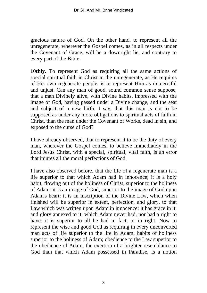gracious nature of God. On the other hand, to represent all the unregenerate, wherever the Gospel comes, as in all respects under the Covenant of Grace, will be a downright lie, and contrary to every part of the Bible.

**10thly.** To represent God as requiring all the same actions of special spiritual faith in Christ in the unregenerate, as He requires of His own regenerate people, is to represent Him as unmerciful and unjust. Can any man of good, sound common sense suppose, that a man Divinely alive, with Divine habits, impressed with the image of God, having passed under a Divine change, and the seat and subject of a new birth; I say, that this man is not to be supposed as under any more obligations to spiritual acts of faith in Christ, than the man under the Covenant of Works, dead in sin, and exposed to the curse of God?

I have already observed, that to represent it to be the duty of every man, wherever the Gospel comes, to believe immediately in the Lord Jesus Christ, with a special, spiritual, vital faith, is an error that injures all the moral perfections of God.

I have also observed before, that the life of a regenerate man is a life superior to that which Adam had in innocence; it is a holy habit, flowing out of the holiness of Christ, superior to the holiness of Adam: it is an image of God, superior to the image of God upon Adam's heart: it is an inscription of the Divine Law, which when finished will be superior in extent, perfection, and glory, to that Law which was written upon Adam in innocence: it has grace in it, and glory annexed to it; which Adam never had, nor had a right to have: it is superior to all he had in fact, or in right. Now to represent the wise and good God as requiring in every unconverted man acts of life superior to the life in Adam; habits of holiness superior to the holiness of Adam; obedience to the Law superior to the obedience of Adam; the exertion of a brighter resemblance to God than that which Adam possessed in Paradise, is a notion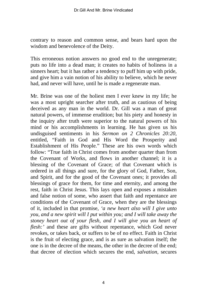contrary to reason and common sense, and bears hard upon the wisdom and benevolence of the Deity.

This erroneous notion answers no good end to the unregenerate; puts no life into a dead man; it creates no habits of holiness in a sinners heart; but it has rather a tendency to puff him up with pride, and give him a vain notion of his ability to believe, which he never had, and never will have, until he is made a regenerate man.

Mr. Brine was one of the holiest men I ever knew in my life; he was a most upright searcher after truth, and as cautious of being deceived as any man in the world. Dr. Gill was a man of great natural powers, of immense erudition; but his piety and honesty in the inquiry after truth were superior to the natural powers of his mind or his accomplishments in learning. He has given us his undisguised sentiments in his *Sermon on 2 Chronicles 20:20*, entitled, "Faith in God and His Word the Prosperity and Establishment of His People." These are his own words which follow: "True faith in Christ comes from another quarter than from the Covenant of Works, and flows in another channel; it is a blessing of the Covenant of Grace; of that Covenant which is ordered in all things and sure, for the glory of God, Father, Son, and Spirit, and for the good of the Covenant ones; it provides all blessings of grace for them, for time and eternity, and among the rest, faith in Christ Jesus. This lays open and exposes a mistaken and false notion of some, who assert that faith and repentance are conditions of the Covenant of Grace, when they are the blessings of it, included in that promise, *'a new heart also will I give unto you, and a new spirit will I put within you; and I will take away the stoney heart out of your flesh, and I will give you an heart of flesh:'* and these are gifts without repentance, which God never revokes, or takes back, or suffers to be of no effect. Faith in Christ is the fruit of electing grace, and is as sure as salvation itself; the one is in the decree of the means, the other in the decree of the end; that decree of election which secures the end, *salvation,* secures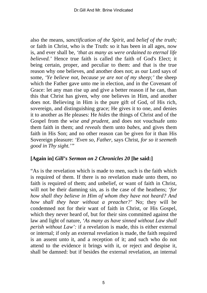also the means, *sanctification of the Spirit,* and *belief of the truth;* or faith in Christ, who is the Truth: so it has been in all ages, now is, and ever shall be, *'that as many as were ordained to eternal life believed.'* Hence true faith is called the faith of God's Elect; it being certain, proper, and peculiar to them: and that is the true reason why one believes, and another does not; as our Lord says of some, *'Ye believe not, because ye are not of my sheep;'* the sheep which the Father gave unto me in election, and in the Covenant of Grace: let any man rise up and give a better reason if he can, than this that Christ has given, why one believes in Him, and another does not. Believing in Him is the pure gift of God, of His rich, sovereign, and distinguishing grace; He gives it to one, and denies it to another as He pleases: He *hides* the things of Christ and of the Gospel from the *wise and prudent,* and does not vouchsafe unto them faith in them; and *reveals* them unto *babes,* and gives them faith in His Son; and no other reason can be given for it than His Sovereign pleasure: *'Even so, Father,* says Christ, *for so it seemeth good in Thy sight.'"*

### **[Again in]** *Gill's Sermon on 2 Chronicles 20* **[he said:]**

"As is the revelation which is made to men, such is the faith which is required of them. If there is no revelation made unto them, no faith is required of them; and unbelief, or want of faith in Christ, will not be their damning sin, as is the case of the heathens; *'for how shall they believe in Him of whom they have not heard? And how shall they hear without a preacher?'* No; they will be condemned not for their want of faith in Christ, or His Gospel, which they never heard of, but for their sins committed against the law and light of nature, *'As many as have sinned without Law shall perish without Law':* if a revelation is made, this is either external or internal; if only an external revelation is made, the faith required is an assent unto it, and a reception of it; and such who do not attend to the evidence it brings with it, or reject and despise it, shall be damned: but if besides the external revelation, an internal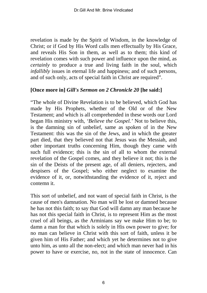revelation is made by the Spirit of Wisdom, in the knowledge of Christ; or if God by His Word calls men effectually by His Grace, and reveals His Son in them, as well as to them; this kind of revelation comes with such power and influence upon the mind, as *certainly* to produce a true and living faith in the soul, which *infallibly* issues in eternal life and happiness; and of such persons, and of such only, acts of special faith in Christ are required".

## **[Once more in]** *Gill's Sermon on 2 Chronicle 20* **[he said:]**

"The whole of Divine Revelation is to be believed, which God has made by His Prophets, whether of the Old or of the New Testament; and which is all comprehended in these words our Lord began His ministry with, *'Believe the Gospel.'* Not to believe this, is the damning sin of unbelief, same as spoken of in the New Testament: this was the sin of the Jews, and in which the greater part died, that they believed not that Jesus was the Messiah, and other important truths concerning Him, though they came with such full evidence; this is the sin of all to whom the external revelation of the Gospel comes, and they believe it not; this is the sin of the Deists of the present age, of all deniers, rejecters, and despisers of the Gospel; who either neglect to examine the evidence of it, or, notwithstanding the evidence of it, reject and contemn it.

This sort of unbelief, and not want of special faith in Christ, is the cause of men's damnation. No man will be lost or damned because he has not this faith; to say that God will damn any man because he has not this special faith in Christ, is to represent Him as the most cruel of all beings, as the Arminians say we make Him to be; to damn a man for that which is solely in His own power to give; for no man can believe in Christ with this sort of faith, unless it be given him of His Father; and which yet he determines not to give unto him, as unto all the non-elect; and which man never had in his power to have or exercise, no, not in the state of innocence. Can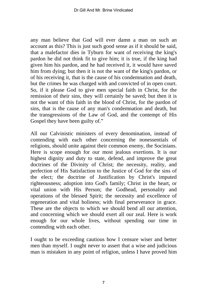any man believe that God will ever damn a man on such an account as this? This is just such good sense as if it should be said, that a malefactor dies in Tyburn for want of receiving the king's pardon he did not think fit to give him; it is true, if the king had given him his pardon, and he had received it, it would have saved him from dying; but then it is not the want of the king's pardon, or of his receiving it, that is the cause of his condemnation and death, but the crimes he was charged with and convicted of in open court. So, if it please God to give men special faith in Christ, for the remission of their sins, they will certainly be saved; but then it is not the want of this faith in the blood of Christ, for the pardon of sins, that is the cause of any man's condemnation and death, but the transgressions of the Law of God, and the contempt of His Gospel they have been guilty of."

All our Calvinistic ministers of every denomination, instead of contending with each other concerning the nonessentials of religions, should unite against their common enemy, the Socinians. Here is scope enough for our most jealous exertions. It is our highest dignity and duty to state, defend, and improve the great doctrines of the Divinity of Christ; the necessity, reality, and perfection of His Satisfaction to the Justice of God for the sins of the elect; the doctrine of Justification by Christ's imputed righteousness; adoption into God's family; Christ in the heart, or vital union with His Person; the Godhead, personality and operations of the blessed Spirit; the necessity and excellence of regeneration and vital holiness; with final perseverance in grace. These are the objects to which we should bend all our attention, and concerning which we should exert all our zeal. Here is work enough for our whole lives, without spending our time in contending with each other.

I ought to be exceeding cautious how I censure wiser and better men than myself. I ought never to assert that a wise and judicious man is mistaken in any point of religion, unless I have proved him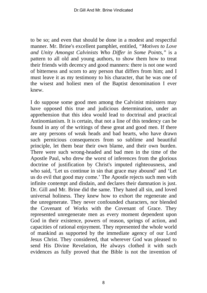to be so; and even that should be done in a modest and respectful manner. Mr. Brine's excellent pamphlet, entitled, *"Motives to Love and Unity Amongst Calvinists Who Differ in Some Points,"* is a pattern to all old and young authors, to show them how to treat their friends with decency and good manners: there is not one word of bitterness and scorn to any person that differs from him; and I must leave it as my testimony to his character, that he was one of the wisest and holiest men of the Baptist denomination I ever knew.

I do suppose some good men among the Calvinist ministers may have opposed this true and judicious determination, under an apprehension that this idea would lead to doctrinal and practical Antinomianism. It is certain, that not a line of this tendency can be found in any of the writings of these great and good men. If there are any persons of weak heads and bad hearts, who have drawn such pernicious consequences from so sublime and beautiful principle, let them bear their own blame, and their own burden. There were such wrong-headed and bad men in the time of the Apostle Paul, who drew the worst of inferences from the glorious doctrine of justification by Christ's imputed righteousness, and who said, 'Let us continue in sin that grace may abound' and 'Let us do evil that good may come.' The Apostle rejects such men with infinite contempt and disdain, and declares their damnation is just. Dr. Gill and Mr. Brine did the same. They hated all sin, and loved universal holiness. They knew how to exhort the regenerate and the unregenerate. They never confounded characters, nor blended the Covenant of Works with the Covenant of Grace. They represented unregenerate men as every moment dependent upon God in their existence, powers of reason, springs of action, and capacities of rational enjoyment. They represented the whole world of mankind as supported by the immediate agency of our Lord Jesus Christ. They considered, that wherever God was pleased to send His Divine Revelation, He always clothed it with such evidences as fully proved that the Bible is not the invention of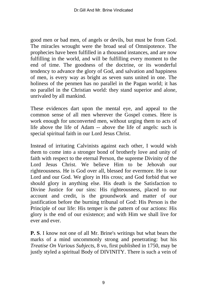good men or bad men, of angels or devils, but must be from God. The miracles wrought were the broad seal of Omnipotence. The prophecies have been fulfilled in a thousand instances, and are now fulfilling in the world, and will be fulfilling every moment to the end of time. The goodness of the doctrine, or its wonderful tendency to advance the glory of God, and salvation and happiness of men, is every way as bright as seven suns united in one. The holiness of the penmen has no parallel in the Pagan world; it has no parallel in the Christian world: they stand superior and alone, unrivaled by all mankind.

These evidences dart upon the mental eye, and appeal to the common sense of all men wherever the Gospel comes. Here is work enough for unconverted men, without urging them to acts of life above the life of Adam -- above the life of angels: such is special spiritual faith in our Lord Jesus Christ.

Instead of irritating Calvinists against each other, I would wish them to come into a stronger bond of brotherly love and unity of faith with respect to the eternal Person, the supreme Divinity of the Lord Jesus Christ. We believe Him to be Jehovah our righteousness. He is God over all, blessed for evermore. He is our Lord and our God. We glory in His cross; and God forbid that we should glory in anything else. His death is the Satisfaction to Divine Justice for our sins: His righteousness, placed to our account and credit, is the groundwork and matter of our justification before the burning tribunal of God: His Person is the Principle of our life: His temper is the pattern of our actions: His glory is the end of our existence; and with Him we shall live for ever and ever.

**P. S**. I know not one of all Mr. Brine's writings but what bears the marks of a mind uncommonly strong and penetrating: but his *Treatise On Various Subjects,* 8 vo, first published in 1750, may be justly styled a spiritual Body of DIVINITY. There is such a vein of